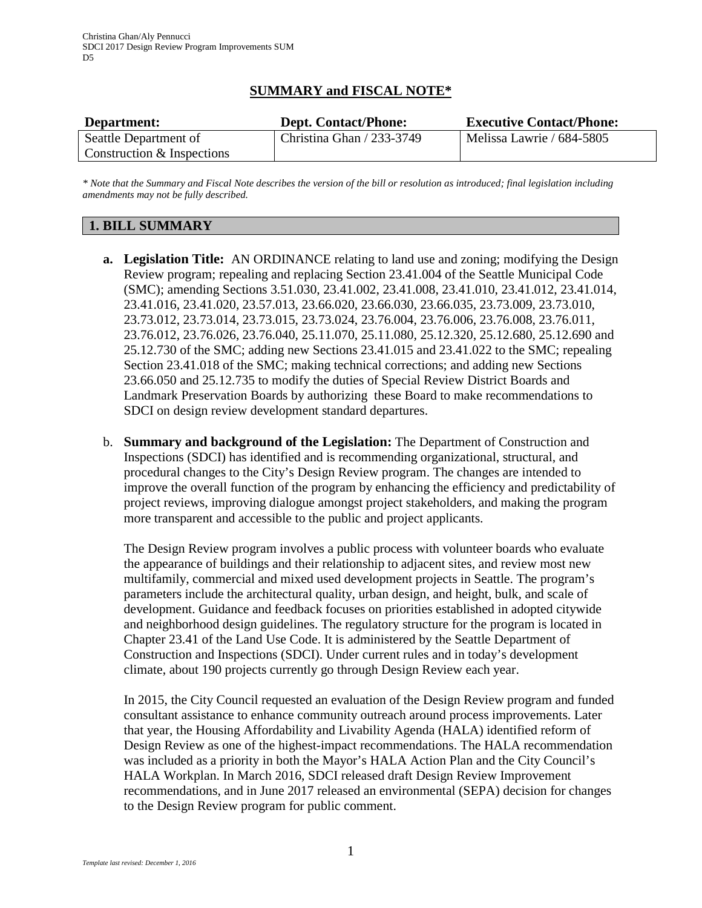# **SUMMARY and FISCAL NOTE\***

| Department:                | <b>Dept. Contact/Phone:</b> | <b>Executive Contact/Phone:</b> |
|----------------------------|-----------------------------|---------------------------------|
| Seattle Department of      | Christina Ghan $/$ 233-3749 | Melissa Lawrie / 684-5805       |
| Construction & Inspections |                             |                                 |

*\* Note that the Summary and Fiscal Note describes the version of the bill or resolution as introduced; final legislation including amendments may not be fully described.*

# **1. BILL SUMMARY**

- **a. Legislation Title:** AN ORDINANCE relating to land use and zoning; modifying the Design Review program; repealing and replacing Section 23.41.004 of the Seattle Municipal Code (SMC); amending Sections 3.51.030, 23.41.002, 23.41.008, 23.41.010, 23.41.012, 23.41.014, 23.41.016, 23.41.020, 23.57.013, 23.66.020, 23.66.030, 23.66.035, 23.73.009, 23.73.010, 23.73.012, 23.73.014, 23.73.015, 23.73.024, 23.76.004, 23.76.006, 23.76.008, 23.76.011, 23.76.012, 23.76.026, 23.76.040, 25.11.070, 25.11.080, 25.12.320, 25.12.680, 25.12.690 and 25.12.730 of the SMC; adding new Sections 23.41.015 and 23.41.022 to the SMC; repealing Section 23.41.018 of the SMC; making technical corrections; and adding new Sections 23.66.050 and 25.12.735 to modify the duties of Special Review District Boards and Landmark Preservation Boards by authorizing these Board to make recommendations to SDCI on design review development standard departures.
- b. **Summary and background of the Legislation:** The Department of Construction and Inspections (SDCI) has identified and is recommending organizational, structural, and procedural changes to the City's Design Review program. The changes are intended to improve the overall function of the program by enhancing the efficiency and predictability of project reviews, improving dialogue amongst project stakeholders, and making the program more transparent and accessible to the public and project applicants.

The Design Review program involves a public process with volunteer boards who evaluate the appearance of buildings and their relationship to adjacent sites, and review most new multifamily, commercial and mixed used development projects in Seattle. The program's parameters include the architectural quality, urban design, and height, bulk, and scale of development. Guidance and feedback focuses on priorities established in adopted citywide and neighborhood design guidelines. The regulatory structure for the program is located in Chapter 23.41 of the Land Use Code. It is administered by the Seattle Department of Construction and Inspections (SDCI). Under current rules and in today's development climate, about 190 projects currently go through Design Review each year.

In 2015, the City Council requested an evaluation of the Design Review program and funded consultant assistance to enhance community outreach around process improvements. Later that year, the Housing Affordability and Livability Agenda (HALA) identified reform of Design Review as one of the highest-impact recommendations. The HALA recommendation was included as a priority in both the Mayor's HALA Action Plan and the City Council's HALA Workplan. In March 2016, SDCI released draft Design Review Improvement recommendations, and in June 2017 released an environmental (SEPA) decision for changes to the Design Review program for public comment.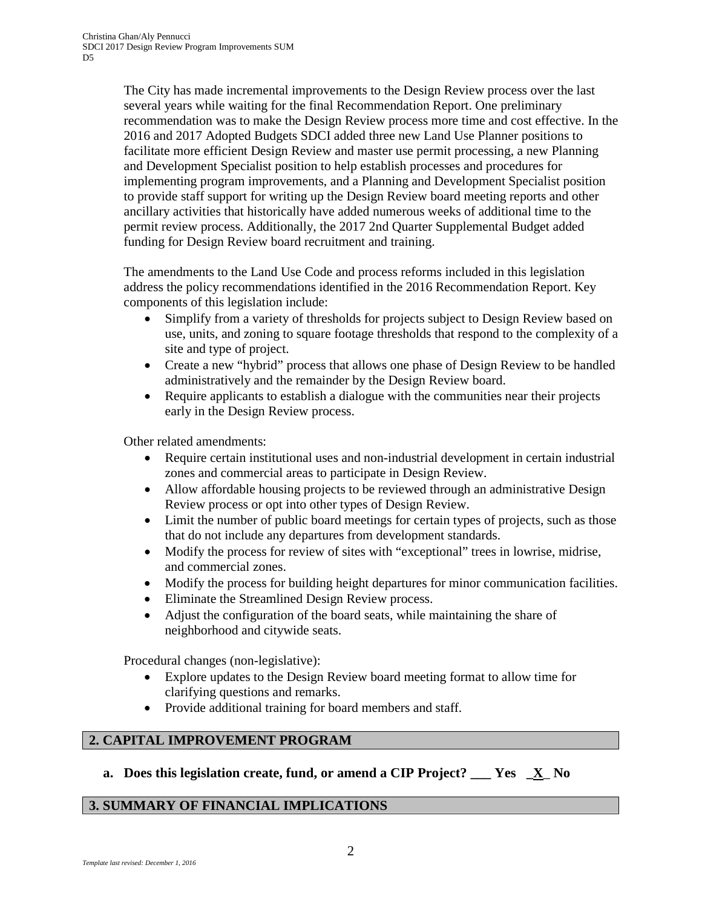The City has made incremental improvements to the Design Review process over the last several years while waiting for the final Recommendation Report. One preliminary recommendation was to make the Design Review process more time and cost effective. In the 2016 and 2017 Adopted Budgets SDCI added three new Land Use Planner positions to facilitate more efficient Design Review and master use permit processing, a new Planning and Development Specialist position to help establish processes and procedures for implementing program improvements, and a Planning and Development Specialist position to provide staff support for writing up the Design Review board meeting reports and other ancillary activities that historically have added numerous weeks of additional time to the permit review process. Additionally, the 2017 2nd Quarter Supplemental Budget added funding for Design Review board recruitment and training.

The amendments to the Land Use Code and process reforms included in this legislation address the policy recommendations identified in the 2016 Recommendation Report. Key components of this legislation include:

- Simplify from a variety of thresholds for projects subject to Design Review based on use, units, and zoning to square footage thresholds that respond to the complexity of a site and type of project.
- Create a new "hybrid" process that allows one phase of Design Review to be handled administratively and the remainder by the Design Review board.
- Require applicants to establish a dialogue with the communities near their projects early in the Design Review process.

Other related amendments:

- Require certain institutional uses and non-industrial development in certain industrial zones and commercial areas to participate in Design Review.
- Allow affordable housing projects to be reviewed through an administrative Design Review process or opt into other types of Design Review.
- Limit the number of public board meetings for certain types of projects, such as those that do not include any departures from development standards.
- Modify the process for review of sites with "exceptional" trees in lowrise, midrise, and commercial zones.
- Modify the process for building height departures for minor communication facilities.
- Eliminate the Streamlined Design Review process.
- Adjust the configuration of the board seats, while maintaining the share of neighborhood and citywide seats.

Procedural changes (non-legislative):

- Explore updates to the Design Review board meeting format to allow time for clarifying questions and remarks.
- Provide additional training for board members and staff.

# **2. CAPITAL IMPROVEMENT PROGRAM**

**a. Does this legislation create, fund, or amend a CIP Project? \_\_\_ Yes \_X**\_ **No**

### **3. SUMMARY OF FINANCIAL IMPLICATIONS**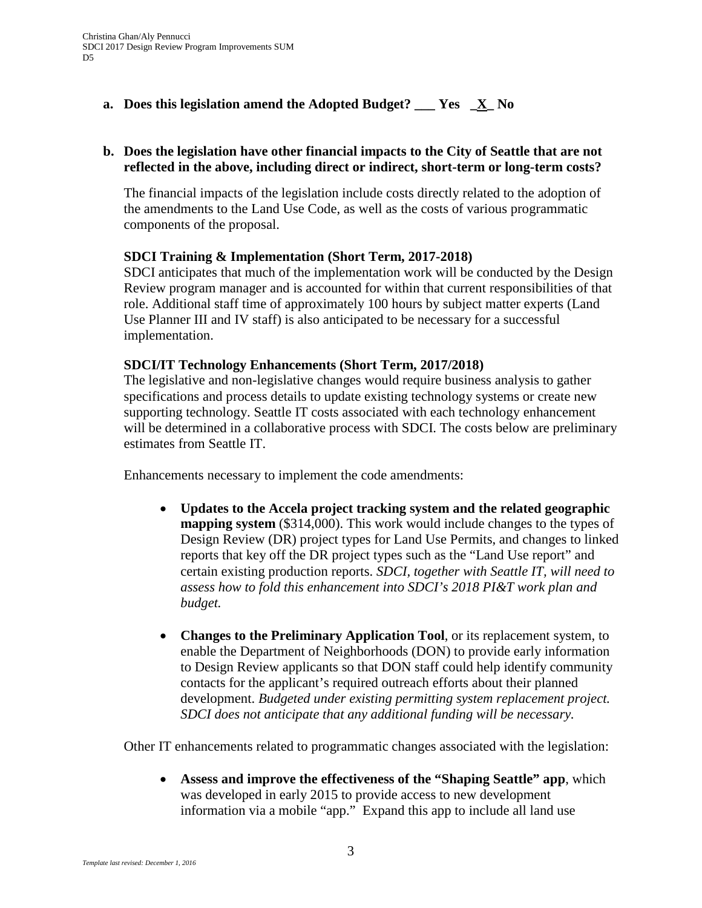# **a. Does this legislation amend the Adopted Budget? \_\_\_ Yes \_X\_ No**

# **b. Does the legislation have other financial impacts to the City of Seattle that are not reflected in the above, including direct or indirect, short-term or long-term costs?**

The financial impacts of the legislation include costs directly related to the adoption of the amendments to the Land Use Code, as well as the costs of various programmatic components of the proposal.

## **SDCI Training & Implementation (Short Term, 2017-2018)**

SDCI anticipates that much of the implementation work will be conducted by the Design Review program manager and is accounted for within that current responsibilities of that role. Additional staff time of approximately 100 hours by subject matter experts (Land Use Planner III and IV staff) is also anticipated to be necessary for a successful implementation.

## **SDCI/IT Technology Enhancements (Short Term, 2017/2018)**

The legislative and non-legislative changes would require business analysis to gather specifications and process details to update existing technology systems or create new supporting technology. Seattle IT costs associated with each technology enhancement will be determined in a collaborative process with SDCI. The costs below are preliminary estimates from Seattle IT.

Enhancements necessary to implement the code amendments:

- **Updates to the Accela project tracking system and the related geographic mapping system** (\$314,000). This work would include changes to the types of Design Review (DR) project types for Land Use Permits, and changes to linked reports that key off the DR project types such as the "Land Use report" and certain existing production reports. *SDCI, together with Seattle IT, will need to assess how to fold this enhancement into SDCI's 2018 PI&T work plan and budget.*
- **Changes to the Preliminary Application Tool**, or its replacement system, to enable the Department of Neighborhoods (DON) to provide early information to Design Review applicants so that DON staff could help identify community contacts for the applicant's required outreach efforts about their planned development. *Budgeted under existing permitting system replacement project. SDCI does not anticipate that any additional funding will be necessary.*

Other IT enhancements related to programmatic changes associated with the legislation:

• **Assess and improve the effectiveness of the "Shaping Seattle" app**, which was developed in early 2015 to provide access to new development information via a mobile "app." Expand this app to include all land use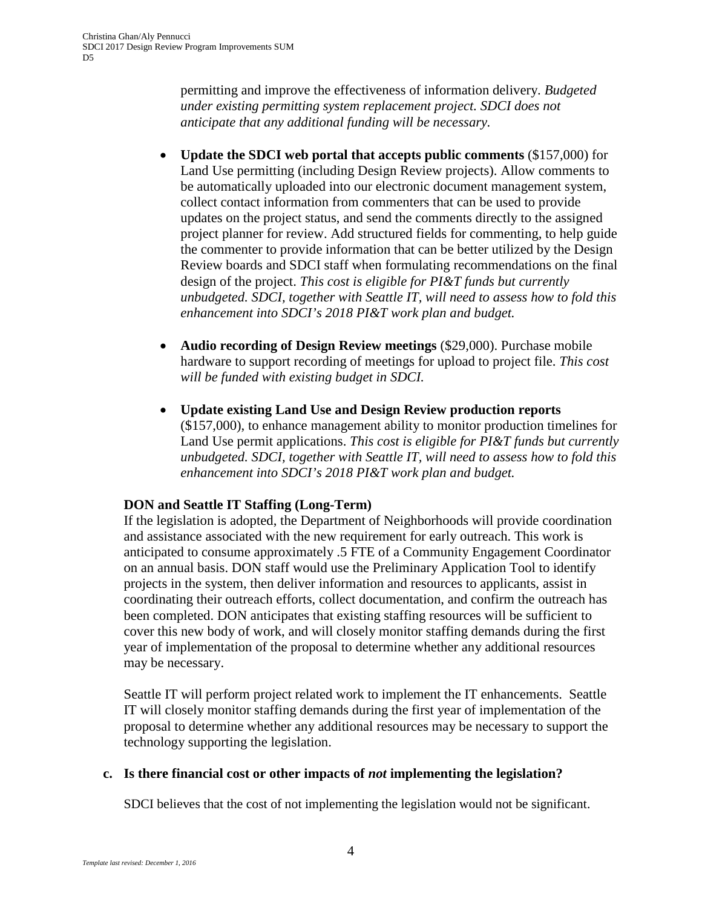permitting and improve the effectiveness of information delivery. *Budgeted under existing permitting system replacement project. SDCI does not anticipate that any additional funding will be necessary.* 

- **Update the SDCI web portal that accepts public comments** (\$157,000) for Land Use permitting (including Design Review projects). Allow comments to be automatically uploaded into our electronic document management system, collect contact information from commenters that can be used to provide updates on the project status, and send the comments directly to the assigned project planner for review. Add structured fields for commenting, to help guide the commenter to provide information that can be better utilized by the Design Review boards and SDCI staff when formulating recommendations on the final design of the project. *This cost is eligible for PI&T funds but currently unbudgeted. SDCI, together with Seattle IT, will need to assess how to fold this enhancement into SDCI's 2018 PI&T work plan and budget.*
- **Audio recording of Design Review meetings** (\$29,000). Purchase mobile hardware to support recording of meetings for upload to project file. *This cost will be funded with existing budget in SDCI.*
- **Update existing Land Use and Design Review production reports** (\$157,000), to enhance management ability to monitor production timelines for Land Use permit applications. *This cost is eligible for PI&T funds but currently unbudgeted. SDCI, together with Seattle IT, will need to assess how to fold this enhancement into SDCI's 2018 PI&T work plan and budget.*

# **DON and Seattle IT Staffing (Long-Term)**

If the legislation is adopted, the Department of Neighborhoods will provide coordination and assistance associated with the new requirement for early outreach. This work is anticipated to consume approximately .5 FTE of a Community Engagement Coordinator on an annual basis. DON staff would use the Preliminary Application Tool to identify projects in the system, then deliver information and resources to applicants, assist in coordinating their outreach efforts, collect documentation, and confirm the outreach has been completed. DON anticipates that existing staffing resources will be sufficient to cover this new body of work, and will closely monitor staffing demands during the first year of implementation of the proposal to determine whether any additional resources may be necessary.

Seattle IT will perform project related work to implement the IT enhancements. Seattle IT will closely monitor staffing demands during the first year of implementation of the proposal to determine whether any additional resources may be necessary to support the technology supporting the legislation.

# **c. Is there financial cost or other impacts of** *not* **implementing the legislation?**

SDCI believes that the cost of not implementing the legislation would not be significant.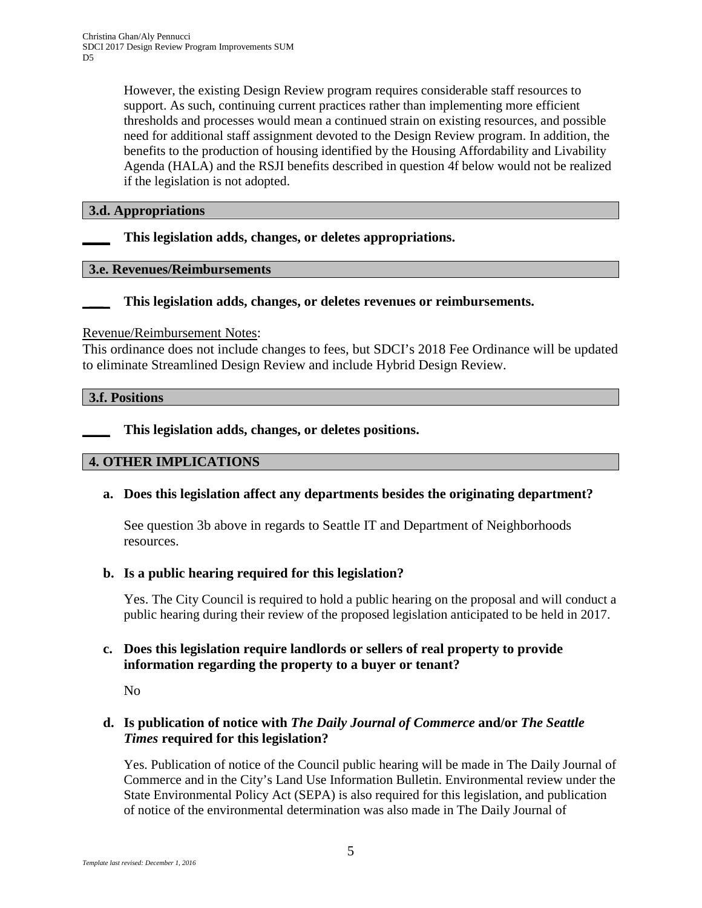However, the existing Design Review program requires considerable staff resources to support. As such, continuing current practices rather than implementing more efficient thresholds and processes would mean a continued strain on existing resources, and possible need for additional staff assignment devoted to the Design Review program. In addition, the benefits to the production of housing identified by the Housing Affordability and Livability Agenda (HALA) and the RSJI benefits described in question 4f below would not be realized if the legislation is not adopted.

### **3.d. Appropriations**

**\_\_\_\_ This legislation adds, changes, or deletes appropriations.**

#### **3.e. Revenues/Reimbursements**

\_**\_\_**\_ **This legislation adds, changes, or deletes revenues or reimbursements.**

Revenue/Reimbursement Notes:

This ordinance does not include changes to fees, but SDCI's 2018 Fee Ordinance will be updated to eliminate Streamlined Design Review and include Hybrid Design Review.

**3.f. Positions**

**\_\_\_\_ This legislation adds, changes, or deletes positions.**

### **4. OTHER IMPLICATIONS**

**a. Does this legislation affect any departments besides the originating department?**

See question 3b above in regards to Seattle IT and Department of Neighborhoods resources.

### **b. Is a public hearing required for this legislation?**

Yes. The City Council is required to hold a public hearing on the proposal and will conduct a public hearing during their review of the proposed legislation anticipated to be held in 2017.

## **c. Does this legislation require landlords or sellers of real property to provide information regarding the property to a buyer or tenant?**

No

## **d. Is publication of notice with** *The Daily Journal of Commerce* **and/or** *The Seattle Times* **required for this legislation?**

Yes. Publication of notice of the Council public hearing will be made in The Daily Journal of Commerce and in the City's Land Use Information Bulletin. Environmental review under the State Environmental Policy Act (SEPA) is also required for this legislation, and publication of notice of the environmental determination was also made in The Daily Journal of